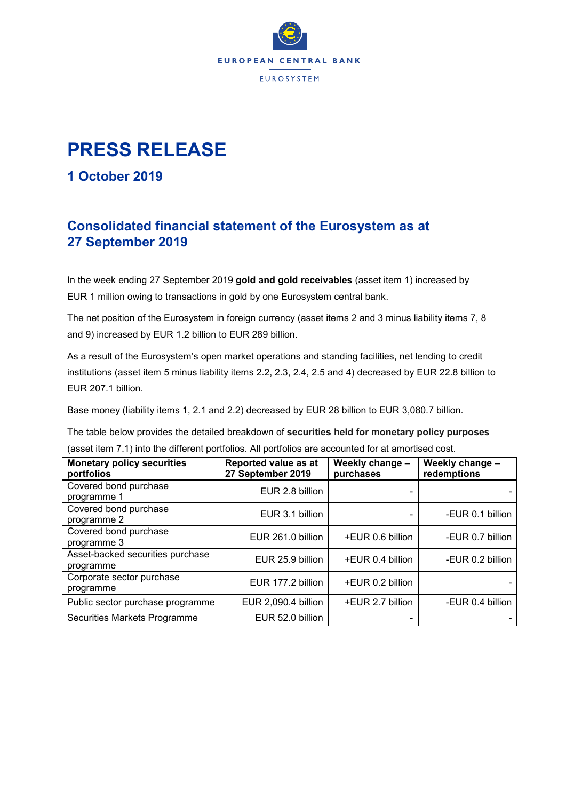

## **PRESS RELEASE**

## **1 October 2019**

## **Consolidated financial statement of the Eurosystem as at 27 September 2019**

In the week ending 27 September 2019 **gold and gold receivables** (asset item 1) increased by EUR 1 million owing to transactions in gold by one Eurosystem central bank.

The net position of the Eurosystem in foreign currency (asset items 2 and 3 minus liability items 7, 8 and 9) increased by EUR 1.2 billion to EUR 289 billion.

As a result of the Eurosystem's open market operations and standing facilities, net lending to credit institutions (asset item 5 minus liability items 2.2, 2.3, 2.4, 2.5 and 4) decreased by EUR 22.8 billion to EUR 207.1 billion.

Base money (liability items 1, 2.1 and 2.2) decreased by EUR 28 billion to EUR 3,080.7 billion.

The table below provides the detailed breakdown of **securities held for monetary policy purposes** (asset item 7.1) into the different portfolios. All portfolios are accounted for at amortised cost.

| <b>Monetary policy securities</b><br>portfolios | Reported value as at<br>27 September 2019 | Weekly change -<br>purchases | Weekly change -<br>redemptions |
|-------------------------------------------------|-------------------------------------------|------------------------------|--------------------------------|
| Covered bond purchase<br>programme 1            | EUR 2.8 billion                           |                              |                                |
| Covered bond purchase<br>programme 2            | EUR 3.1 billion                           |                              | -EUR 0.1 billion               |
| Covered bond purchase<br>programme 3            | EUR 261.0 billion                         | +EUR 0.6 billion             | -EUR 0.7 billion               |
| Asset-backed securities purchase<br>programme   | EUR 25.9 billion                          | +EUR 0.4 billion             | -EUR 0.2 billion               |
| Corporate sector purchase<br>programme          | EUR 177.2 billion                         | +EUR 0.2 billion             |                                |
| Public sector purchase programme                | EUR 2,090.4 billion                       | +EUR 2.7 billion             | -EUR 0.4 billion               |
| Securities Markets Programme                    | EUR 52.0 billion                          |                              |                                |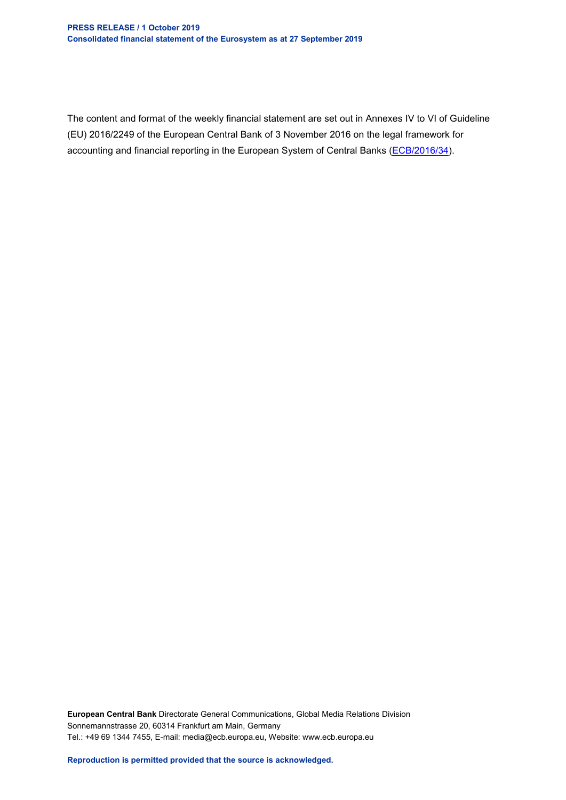The content and format of the weekly financial statement are set out in Annexes IV to VI of Guideline (EU) 2016/2249 of the European Central Bank of 3 November 2016 on the legal framework for accounting and financial reporting in the European System of Central Banks [\(ECB/2016/34\)](http://www.ecb.europa.eu/ecb/legal/1001/1012/html/index.en.html).

**European Central Bank** Directorate General Communications, Global Media Relations Division Sonnemannstrasse 20, 60314 Frankfurt am Main, Germany Tel.: +49 69 1344 7455, E-mail: media@ecb.europa.eu, Website: www.ecb.europa.eu